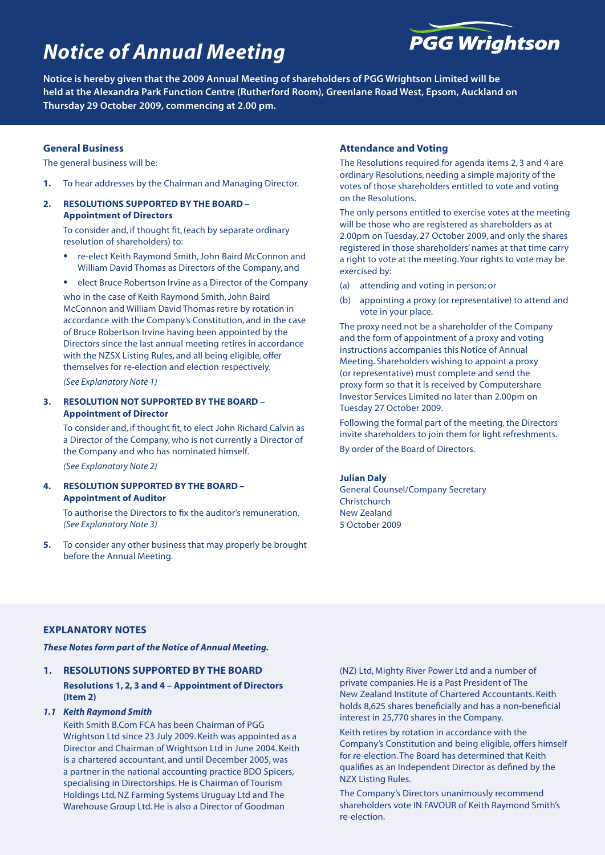# *Notice of Annual Meeting*



**Notice is hereby given that the 2009 Annual Meeting of shareholders of PGG Wrightson Limited will be held at the Alexandra Park Function Centre (Rutherford Room), Greenlane Road West, Epsom, Auckland on Thursday 29 October 2009, commencing at 2.00 pm.**

# **General Business**

The general business will be:

- **1.** To hear addresses by the Chairman and Managing Director.
- **2. Resolutions Supported by the Board Appointment of Directors**

To consider and, if thought fit, (each by separate ordinary resolution of shareholders) to:

- re-elect Keith Raymond Smith, John Baird McConnon and William David Thomas as Directors of the Company, and
- elect Bruce Robertson Irvine as a Director of the Company

who in the case of Keith Raymond Smith, John Baird McConnon and William David Thomas retire by rotation in accordance with the Company's Constitution, and in the case of Bruce Robertson Irvine having been appointed by the Directors since the last annual meeting retires in accordance with the NZSX Listing Rules, and all being eligible, offer themselves for re-election and election respectively.

*(See Explanatory Note 1)*

### **3. Resolution Not Supported by the Board – Appointment of Director**

To consider and, if thought fit, to elect John Richard Calvin as a Director of the Company, who is not currently a Director of the Company and who has nominated himself. *(See Explanatory Note 2)*

## **4. Resolution Supported by the Board – Appointment of Auditor**

To authorise the Directors to fix the auditor's remuneration. *(See Explanatory Note 3)*

**5.** To consider any other business that may properly be brought before the Annual Meeting.

# **Attendance and Voting**

The Resolutions required for agenda items 2, 3 and 4 are ordinary Resolutions, needing a simple majority of the votes of those shareholders entitled to vote and voting on the Resolutions.

The only persons entitled to exercise votes at the meeting will be those who are registered as shareholders as at 2.00pm on Tuesday, 27 October 2009, and only the shares registered in those shareholders' names at that time carry a right to vote at the meeting. Your rights to vote may be exercised by:

- (a) attending and voting in person; or
- (b) appointing a proxy (or representative) to attend and vote in your place.

The proxy need not be a shareholder of the Company and the form of appointment of a proxy and voting instructions accompanies this Notice of Annual Meeting. Shareholders wishing to appoint a proxy (or representative) must complete and send the proxy form so that it is received by Computershare Investor Services Limited no later than 2.00pm on Tuesday 27 October 2009.

Following the formal part of the meeting, the Directors invite shareholders to join them for light refreshments. By order of the Board of Directors.

#### **Julian Daly**

General Counsel/Company Secretary Christchurch New Zealand 5 October 2009

# **EXPLANATORY NOTES**

*These Notes form part of the Notice of Annual Meeting.*

# **1. RESOLUTIONS SUPPORTED BY THE BOARD**

**Resolutions 1, 2, 3 and 4 – Appointment of Directors (Item 2)** 

# *1.1 Keith Raymond Smith*

Keith Smith B.Com FCA has been Chairman of PGG Wrightson Ltd since 23 July 2009. Keith was appointed as a Director and Chairman of Wrightson Ltd in June 2004. Keith is a chartered accountant, and until December 2005, was a partner in the national accounting practice BDO Spicers, specialising in Directorships. He is Chairman of Tourism Holdings Ltd, NZ Farming Systems Uruguay Ltd and The Warehouse Group Ltd. He is also a Director of Goodman

(NZ) Ltd, Mighty River Power Ltd and a number of private companies. He is a Past President of The New Zealand Institute of Chartered Accountants. Keith holds 8,625 shares beneficially and has a non-beneficial interest in 25,770 shares in the Company.

Keith retires by rotation in accordance with the Company's Constitution and being eligible, offers himself for re-election. The Board has determined that Keith qualifies as an Independent Director as defined by the NZX Listing Rules.

The Company's Directors unanimously recommend shareholders vote IN FAVOUR of Keith Raymond Smith's re-election.